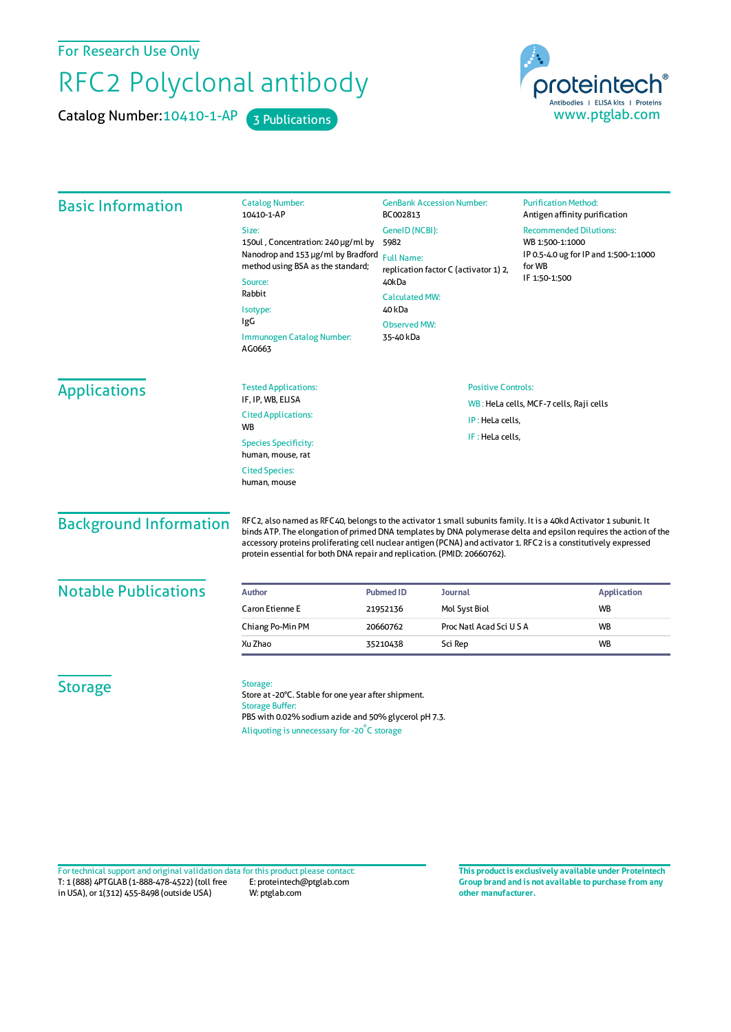For Research Use Only

## RFC2 Polyclonal antibody

Catalog Number: 10410-1-AP 3 Publications



| <b>Basic Information</b>                         | <b>Catalog Number:</b><br>10410-1-AP                                                                                                                                                                                                                                                                                                                                                                                                  | <b>GenBank Accession Number:</b><br>BC002813<br>GeneID (NCBI):<br>5982                                 |                             | <b>Purification Method:</b><br>Antigen affinity purification<br><b>Recommended Dilutions:</b><br>WB 1:500-1:1000<br>IP 0.5-4.0 ug for IP and 1:500-1:1000<br>for WB |                                  |
|--------------------------------------------------|---------------------------------------------------------------------------------------------------------------------------------------------------------------------------------------------------------------------------------------------------------------------------------------------------------------------------------------------------------------------------------------------------------------------------------------|--------------------------------------------------------------------------------------------------------|-----------------------------|---------------------------------------------------------------------------------------------------------------------------------------------------------------------|----------------------------------|
|                                                  | Size:                                                                                                                                                                                                                                                                                                                                                                                                                                 |                                                                                                        |                             |                                                                                                                                                                     |                                  |
|                                                  | 150ul, Concentration: 240 µg/ml by<br>Nanodrop and 153 µg/ml by Bradford<br>method using BSA as the standard;<br>Source:<br>Rabbit<br>Isotype:<br>IgG<br>Immunogen Catalog Number:<br>AG0663                                                                                                                                                                                                                                          |                                                                                                        |                             |                                                                                                                                                                     |                                  |
|                                                  |                                                                                                                                                                                                                                                                                                                                                                                                                                       | <b>Full Name:</b><br>replication factor C (activator 1) 2,<br>40kDa<br><b>Calculated MW:</b><br>40 kDa |                             |                                                                                                                                                                     |                                  |
|                                                  |                                                                                                                                                                                                                                                                                                                                                                                                                                       |                                                                                                        |                             | IF 1:50-1:500                                                                                                                                                       |                                  |
|                                                  |                                                                                                                                                                                                                                                                                                                                                                                                                                       |                                                                                                        |                             |                                                                                                                                                                     |                                  |
|                                                  |                                                                                                                                                                                                                                                                                                                                                                                                                                       |                                                                                                        |                             |                                                                                                                                                                     | <b>Observed MW:</b><br>35-40 kDa |
|                                                  |                                                                                                                                                                                                                                                                                                                                                                                                                                       |                                                                                                        |                             |                                                                                                                                                                     |                                  |
|                                                  |                                                                                                                                                                                                                                                                                                                                                                                                                                       | <b>Applications</b>                                                                                    | <b>Tested Applications:</b> | <b>Positive Controls:</b><br>WB: HeLa cells, MCF-7 cells, Raji cells                                                                                                |                                  |
| IF, IP, WB, ELISA                                |                                                                                                                                                                                                                                                                                                                                                                                                                                       |                                                                                                        |                             |                                                                                                                                                                     |                                  |
| <b>Cited Applications:</b><br><b>WB</b>          | IP: HeLa cells,                                                                                                                                                                                                                                                                                                                                                                                                                       |                                                                                                        |                             |                                                                                                                                                                     |                                  |
| <b>Species Specificity:</b><br>human, mouse, rat | IF: HeLa cells,                                                                                                                                                                                                                                                                                                                                                                                                                       |                                                                                                        |                             |                                                                                                                                                                     |                                  |
| <b>Cited Species:</b><br>human, mouse            |                                                                                                                                                                                                                                                                                                                                                                                                                                       |                                                                                                        |                             |                                                                                                                                                                     |                                  |
| <b>Background Information</b>                    | RFC2, also named as RFC40, belongs to the activator 1 small subunits family. It is a 40kd Activator 1 subunit. It<br>binds ATP. The elongation of primed DNA templates by DNA polymerase delta and epsilon requires the action of the<br>accessory proteins proliferating cell nuclear antigen (PCNA) and activator 1. RFC2 is a constitutively expressed<br>protein essential for both DNA repair and replication. (PMID: 20660762). |                                                                                                        |                             |                                                                                                                                                                     |                                  |
| <b>Notable Publications</b>                      | <b>Author</b>                                                                                                                                                                                                                                                                                                                                                                                                                         | <b>Pubmed ID</b>                                                                                       | Journal                     |                                                                                                                                                                     | <b>Application</b>               |
|                                                  | <b>Caron Etienne E</b>                                                                                                                                                                                                                                                                                                                                                                                                                | 21952136                                                                                               | Mol Syst Biol               |                                                                                                                                                                     | WB                               |
|                                                  | Chiang Po-Min PM                                                                                                                                                                                                                                                                                                                                                                                                                      | 20660762                                                                                               | Proc Natl Acad Sci U S A    |                                                                                                                                                                     | <b>WB</b>                        |
|                                                  | Xu Zhao                                                                                                                                                                                                                                                                                                                                                                                                                               | 35210438                                                                                               | Sci Rep                     |                                                                                                                                                                     | <b>WB</b>                        |
| <b>Storage</b>                                   | Storage:<br>Store at -20°C. Stable for one year after shipment.<br><b>Storage Buffer:</b><br>PBS with 0.02% sodium azide and 50% glycerol pH 7.3.                                                                                                                                                                                                                                                                                     |                                                                                                        |                             |                                                                                                                                                                     |                                  |

T: 1 (888) 4PTGLAB (1-888-478-4522) (toll free in USA), or 1(312) 455-8498 (outside USA) E: proteintech@ptglab.com W: ptglab.com Fortechnical support and original validation data forthis product please contact: **This productis exclusively available under Proteintech**

**Group brand and is not available to purchase from any other manufacturer.**